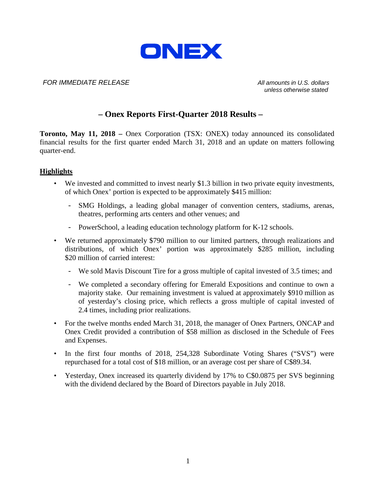

#### *FOR IMMEDIATE RELEASE All amounts in U.S. dollars*

*unless otherwise stated*

### **– Onex Reports First-Quarter 2018 Results –**

**Toronto, May 11, 2018 –** Onex Corporation (TSX: ONEX) today announced its consolidated financial results for the first quarter ended March 31, 2018 and an update on matters following quarter-end.

#### **Highlights**

- We invested and committed to invest nearly \$1.3 billion in two private equity investments, of which Onex' portion is expected to be approximately \$415 million:
	- SMG Holdings, a leading global manager of convention centers, stadiums, arenas, theatres, performing arts centers and other venues; and
	- PowerSchool, a leading education technology platform for K-12 schools.
- We returned approximately \$790 million to our limited partners, through realizations and distributions, of which Onex' portion was approximately \$285 million, including \$20 million of carried interest:
	- We sold Mavis Discount Tire for a gross multiple of capital invested of 3.5 times; and
	- We completed a secondary offering for Emerald Expositions and continue to own a majority stake. Our remaining investment is valued at approximately \$910 million as of yesterday's closing price, which reflects a gross multiple of capital invested of 2.4 times, including prior realizations.
- For the twelve months ended March 31, 2018, the manager of Onex Partners, ONCAP and Onex Credit provided a contribution of \$58 million as disclosed in the Schedule of Fees and Expenses.
- In the first four months of 2018, 254,328 Subordinate Voting Shares ("SVS") were repurchased for a total cost of \$18 million, or an average cost per share of C\$89.34.
- Yesterday, Onex increased its quarterly dividend by 17% to C\$0.0875 per SVS beginning with the dividend declared by the Board of Directors payable in July 2018.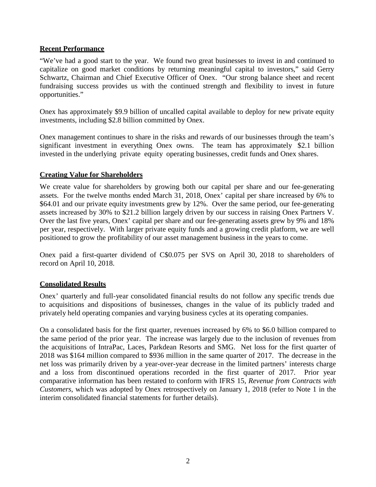#### **Recent Performance**

"We've had a good start to the year. We found two great businesses to invest in and continued to capitalize on good market conditions by returning meaningful capital to investors," said Gerry Schwartz, Chairman and Chief Executive Officer of Onex. "Our strong balance sheet and recent fundraising success provides us with the continued strength and flexibility to invest in future opportunities."

Onex has approximately \$9.9 billion of uncalled capital available to deploy for new private equity investments, including \$2.8 billion committed by Onex.

Onex management continues to share in the risks and rewards of our businesses through the team's significant investment in everything Onex owns. The team has approximately \$2.1 billion invested in the underlying private equity operating businesses, credit funds and Onex shares.

### **Creating Value for Shareholders**

We create value for shareholders by growing both our capital per share and our fee-generating assets. For the twelve months ended March 31, 2018, Onex' capital per share increased by 6% to \$64.01 and our private equity investments grew by 12%. Over the same period, our fee-generating assets increased by 30% to \$21.2 billion largely driven by our success in raising Onex Partners V. Over the last five years, Onex' capital per share and our fee-generating assets grew by 9% and 18% per year, respectively. With larger private equity funds and a growing credit platform, we are well positioned to grow the profitability of our asset management business in the years to come.

Onex paid a first-quarter dividend of C\$0.075 per SVS on April 30, 2018 to shareholders of record on April 10, 2018.

### **Consolidated Results**

Onex' quarterly and full-year consolidated financial results do not follow any specific trends due to acquisitions and dispositions of businesses, changes in the value of its publicly traded and privately held operating companies and varying business cycles at its operating companies.

On a consolidated basis for the first quarter, revenues increased by 6% to \$6.0 billion compared to the same period of the prior year. The increase was largely due to the inclusion of revenues from the acquisitions of IntraPac, Laces, Parkdean Resorts and SMG. Net loss for the first quarter of 2018 was \$164 million compared to \$936 million in the same quarter of 2017. The decrease in the net loss was primarily driven by a year-over-year decrease in the limited partners' interests charge and a loss from discontinued operations recorded in the first quarter of 2017. Prior year comparative information has been restated to conform with IFRS 15, *Revenue from Contracts with Customers*, which was adopted by Onex retrospectively on January 1, 2018 (refer to Note 1 in the interim consolidated financial statements for further details).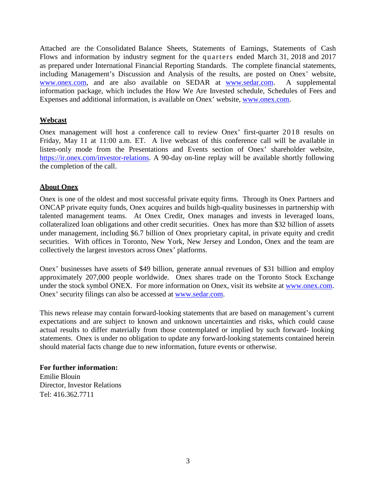Attached are the Consolidated Balance Sheets, Statements of Earnings, Statements of Cash Flows and information by industry segment for the quarters ended March 31, 2018 and 2017 as prepared under International Financial Reporting Standards. The complete financial statements, including Management's Discussion and Analysis of the results, are posted on Onex' website, [www.onex.com, a](http://www.onex.com/)nd are also available on SEDAR at [www.sedar.com.](http://www.sedar.com/) A supplemental information package, which includes the How We Are Invested schedule, Schedules of Fees and Expenses and additional information, is available on Onex' website, [www.onex.com.](http://www.onex.com/)

### **Webcast**

Onex management will host a conference call to review Onex' first-quarter 2018 results on Friday, May 11 at 11:00 a.m. ET. A live webcast of this conference call will be available in listen-only mode from the Presentations and Events section of Onex' shareholder website, [https://ir.onex.com/investor-relations.](https://ir.onex.com/investor-relations) A 90-day on-line replay will be available shortly following the completion of the call.

### **About Onex**

Onex is one of the oldest and most successful private equity firms. Through its Onex Partners and ONCAP private equity funds, Onex acquires and builds high-quality businesses in partnership with talented management teams. At Onex Credit, Onex manages and invests in leveraged loans, collateralized loan obligations and other credit securities. Onex has more than \$32 billion of assets under management, including \$6.7 billion of Onex proprietary capital, in private equity and credit securities. With offices in Toronto, New York, New Jersey and London, Onex and the team are collectively the largest investors across Onex' platforms.

Onex' businesses have assets of \$49 billion, generate annual revenues of \$31 billion and employ approximately 207,000 people worldwide. Onex shares trade on the Toronto Stock Exchange under the stock symbol ONEX. For more information on Onex, visit its website at [www.onex.com.](http://www.onex.com/) Onex' security filings can also be accessed at [www.sedar.com.](http://www.sedar.com/)

This news release may contain forward-looking statements that are based on management's current expectations and are subject to known and unknown uncertainties and risks, which could cause actual results to differ materially from those contemplated or implied by such forward- looking statements. Onex is under no obligation to update any forward-looking statements contained herein should material facts change due to new information, future events or otherwise.

#### **For further information:**

Emilie Blouin Director, Investor Relations Tel: 416.362.7711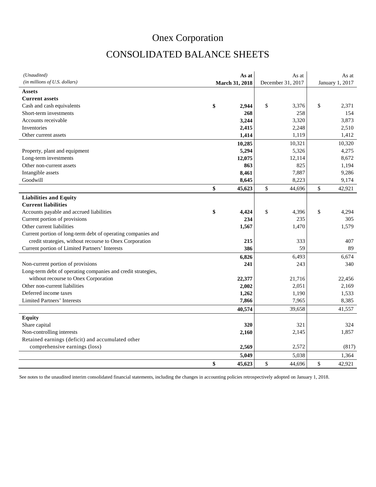## CONSOLIDATED BALANCE SHEETS

| (Unaudited)                                                  | As at          | As at             | As at           |
|--------------------------------------------------------------|----------------|-------------------|-----------------|
| (in millions of U.S. dollars)                                | March 31, 2018 | December 31, 2017 | January 1, 2017 |
| Assets                                                       |                |                   |                 |
| <b>Current assets</b>                                        |                |                   |                 |
| Cash and cash equivalents                                    | \$<br>2.944    | \$<br>3,376       | \$<br>2,371     |
| Short-term investments                                       | 268            | 258               | 154             |
| Accounts receivable                                          | 3,244          | 3,320             | 3,873           |
| Inventories                                                  | 2,415          | 2,248             | 2,510           |
| Other current assets                                         | 1,414          | 1,119             | 1,412           |
|                                                              | 10,285         | 10,321            | 10,320          |
| Property, plant and equipment                                | 5,294          | 5,326             | 4,275           |
| Long-term investments                                        | 12,075         | 12,114            | 8,672           |
| Other non-current assets                                     | 863            | 825               | 1,194           |
| Intangible assets                                            | 8,461          | 7,887             | 9,286           |
| Goodwill                                                     | 8,645          | 8,223             | 9,174           |
|                                                              | \$<br>45,623   | \$<br>44,696      | \$<br>42,921    |
| <b>Liabilities and Equity</b>                                |                |                   |                 |
| <b>Current liabilities</b>                                   |                |                   |                 |
| Accounts payable and accrued liabilities                     | \$<br>4,424    | \$<br>4,396       | \$<br>4,294     |
| Current portion of provisions                                | 234            | 235               | 305             |
| Other current liabilities                                    | 1,567          | 1,470             | 1,579           |
| Current portion of long-term debt of operating companies and |                |                   |                 |
| credit strategies, without recourse to Onex Corporation      | 215            | 333               | 407             |
| Current portion of Limited Partners' Interests               | 386            | 59                | 89              |
|                                                              | 6,826          | 6,493             | 6,674           |
| Non-current portion of provisions                            | 241            | 243               | 340             |
| Long-term debt of operating companies and credit strategies, |                |                   |                 |
| without recourse to Onex Corporation                         | 22,377         | 21,716            | 22,456          |
| Other non-current liabilities                                | 2,002          | 2,051             | 2,169           |
| Deferred income taxes                                        | 1,262          | 1,190             | 1,533           |
| Limited Partners' Interests                                  | 7,866          | 7,965             | 8,385           |
|                                                              | 40,574         | 39,658            | 41,557          |
| <b>Equity</b>                                                |                |                   |                 |
| Share capital                                                | 320            | 321               | 324             |
| Non-controlling interests                                    | 2,160          | 2,145             | 1,857           |
| Retained earnings (deficit) and accumulated other            |                |                   |                 |
| comprehensive earnings (loss)                                | 2,569          | 2,572             | (817)           |
|                                                              | 5,049          | 5,038             | 1,364           |
|                                                              | \$<br>45,623   | \$<br>44,696      | \$<br>42,921    |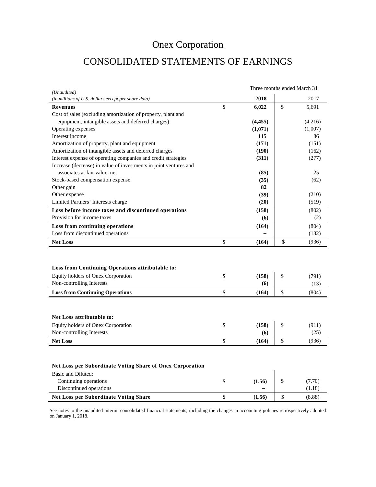# CONSOLIDATED STATEMENTS OF EARNINGS

| (Unaudited)                                                                            |              | Three months ended March 31 |
|----------------------------------------------------------------------------------------|--------------|-----------------------------|
| (in millions of U.S. dollars except per share data)                                    | 2018         | 2017                        |
| <b>Revenues</b>                                                                        | \$<br>6,022  | \$<br>5,691                 |
| Cost of sales (excluding amortization of property, plant and                           |              |                             |
| equipment, intangible assets and deferred charges)                                     | (4, 455)     | (4,216)                     |
| Operating expenses                                                                     | (1,071)      | (1,007)                     |
| Interest income                                                                        | 115          | 86                          |
| Amortization of property, plant and equipment                                          | (171)        | (151)                       |
| Amortization of intangible assets and deferred charges                                 | (190)        | (162)                       |
| Interest expense of operating companies and credit strategies                          | (311)        | (277)                       |
| Increase (decrease) in value of investments in joint ventures and                      |              |                             |
| associates at fair value, net                                                          | (85)         | 25                          |
| Stock-based compensation expense                                                       | (35)         | (62)                        |
| Other gain                                                                             | 82           |                             |
| Other expense                                                                          | (39)         | (210)                       |
| Limited Partners' Interests charge                                                     | (20)         | (519)                       |
| Loss before income taxes and discontinued operations                                   | (158)        | (802)                       |
| Provision for income taxes                                                             | (6)          | (2)                         |
| Loss from continuing operations                                                        | (164)        | (804)                       |
|                                                                                        |              | (132)                       |
| Loss from discontinued operations                                                      |              |                             |
| <b>Net Loss</b>                                                                        | \$<br>(164)  | \$<br>(936)                 |
| Loss from Continuing Operations attributable to:<br>Equity holders of Onex Corporation | \$<br>(158)  | \$<br>(791)                 |
| Non-controlling Interests                                                              | (6)          | (13)                        |
| <b>Loss from Continuing Operations</b>                                                 | \$<br>(164)  | \$<br>(804)                 |
| Net Loss attributable to:                                                              |              |                             |
| Equity holders of Onex Corporation                                                     | \$<br>(158)  | \$<br>(911)                 |
| Non-controlling Interests                                                              | (6)          | (25)                        |
| <b>Net Loss</b>                                                                        | \$<br>(164)  | \$<br>(936)                 |
| <b>Net Loss per Subordinate Voting Share of Onex Corporation</b><br>Basic and Diluted: |              |                             |
| Continuing operations                                                                  | \$<br>(1.56) | \$<br>(7.70)                |
| Discontinued operations<br><b>Net Loss per Subordinate Voting Share</b>                | \$<br>(1.56) | \$<br>(1.18)<br>(8.88)      |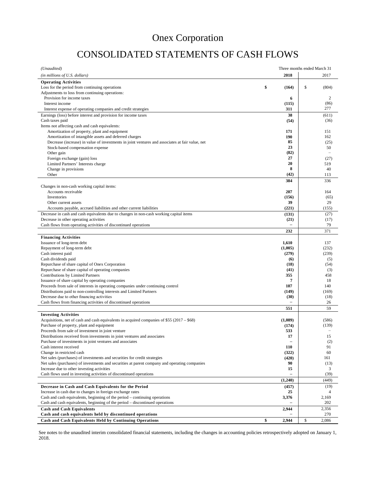## CONSOLIDATED STATEMENTS OF CASH FLOWS

| (Unaudited)                                                                                                                                 |                                | Three months ended March 31 |                          |
|---------------------------------------------------------------------------------------------------------------------------------------------|--------------------------------|-----------------------------|--------------------------|
| (in millions of U.S. dollars)                                                                                                               | 2018                           |                             | 2017                     |
| <b>Operating Activities</b>                                                                                                                 |                                |                             |                          |
| Loss for the period from continuing operations                                                                                              | \$<br>(164)                    | \$                          | (804)                    |
| Adjustments to loss from continuing operations:<br>Provision for income taxes                                                               | 6                              |                             | 2                        |
| Interest income                                                                                                                             | (115)                          |                             | (86)                     |
| Interest expense of operating companies and credit strategies                                                                               | 311                            |                             | 277                      |
| Earnings (loss) before interest and provision for income taxes                                                                              | 38                             |                             | (611)                    |
| Cash taxes paid                                                                                                                             | (54)                           |                             | (36)                     |
| Items not affecting cash and cash equivalents:<br>Amortization of property, plant and equipment                                             | 171                            |                             | 151                      |
| Amortization of intangible assets and deferred charges                                                                                      | 190                            |                             | 162                      |
| Decrease (increase) in value of investments in joint ventures and associates at fair value, net                                             | 85                             |                             | (25)                     |
| Stock-based compensation expense                                                                                                            | 23                             |                             | 50                       |
| Other gain                                                                                                                                  | (82)                           |                             | $\overline{\phantom{a}}$ |
| Foreign exchange (gain) loss<br>Limited Partners' Interests charge                                                                          | 27<br>20                       |                             | (27)<br>519              |
| Change in provisions                                                                                                                        | 8                              |                             | 40                       |
| Other                                                                                                                                       | (42)                           |                             | 113                      |
|                                                                                                                                             | 384                            |                             | 336                      |
| Changes in non-cash working capital items:                                                                                                  |                                |                             |                          |
| Accounts receivable<br>Inventories                                                                                                          | 207                            |                             | 164                      |
| Other current assets                                                                                                                        | (156)<br>39                    |                             | (65)<br>29               |
| Accounts payable, accrued liabilities and other current liabilities                                                                         | (221)                          |                             | (155)                    |
| Decrease in cash and cash equivalents due to changes in non-cash working capital items                                                      | (131)                          |                             | (27)                     |
| Decrease in other operating activities                                                                                                      | (21)                           |                             | (17)                     |
| Cash flows from operating activities of discontinued operations                                                                             |                                |                             | 79                       |
|                                                                                                                                             | 232                            |                             | 371                      |
| <b>Financing Activities</b><br>Issuance of long-term debt                                                                                   | 1,610                          |                             | 137                      |
| Repayment of long-term debt                                                                                                                 | (1,005)                        |                             | (232)                    |
| Cash interest paid                                                                                                                          | (279)                          |                             | (239)                    |
| Cash dividends paid                                                                                                                         | (6)                            |                             | (5)                      |
| Repurchase of share capital of Onex Corporation                                                                                             | (18)                           |                             | (54)<br>(3)              |
| Repurchase of share capital of operating companies<br>Contributions by Limited Partners                                                     | (41)<br>355                    |                             | 458                      |
| Issuance of share capital by operating companies                                                                                            | 7                              |                             | 18                       |
| Proceeds from sale of interests in operating companies under continuing control                                                             | 107                            |                             | 140                      |
| Distributions paid to non-controlling interests and Limited Partners                                                                        | (149)                          |                             | (169)                    |
| Decrease due to other financing activities<br>Cash flows from financing activities of discontinued operations                               | (30)                           |                             | (18)<br>26               |
|                                                                                                                                             | 551                            |                             | 59                       |
| <b>Investing Activities</b>                                                                                                                 |                                |                             |                          |
| Acquisitions, net of cash and cash equivalents in acquired companies of \$55 (2017 – \$68)                                                  | (1,089)                        |                             | (586)                    |
| Purchase of property, plant and equipment                                                                                                   | (174)                          |                             | (139)                    |
| Proceeds from sale of investment in joint venture                                                                                           | 533                            |                             |                          |
| Distributions received from investments in joint ventures and associates<br>Purchase of investments in joint ventures and associates        | 17<br>$\overline{\phantom{0}}$ |                             | 15<br>(2)                |
| Cash interest received                                                                                                                      | 110                            |                             | 91                       |
| Change in restricted cash                                                                                                                   | (322)                          |                             | 60                       |
| Net sales (purchases) of investments and securities for credit strategies                                                                   | (420)                          |                             | 161                      |
| Net sales (purchases) of investments and securities at parent company and operating companies<br>Increase due to other investing activities | 90<br>15                       |                             | (13)<br>3                |
| Cash flows used in investing activities of discontinued operations                                                                          |                                |                             | (39)                     |
|                                                                                                                                             | (1,240)                        |                             | (449)                    |
| Decrease in Cash and Cash Equivalents for the Period                                                                                        | (457)                          |                             | (19)                     |
| Increase in cash due to changes in foreign exchange rates                                                                                   | 25                             |                             | 4                        |
| Cash and cash equivalents, beginning of the period – continuing operations                                                                  | 3,376                          |                             | 2,169                    |
| Cash and cash equivalents, beginning of the period - discontinued operations<br><b>Cash and Cash Equivalents</b>                            | 2,944                          |                             | 202<br>2,356             |
| Cash and cash equivalents held by discontinued operations                                                                                   |                                |                             | 270                      |
| Cash and Cash Equivalents Held by Continuing Operations                                                                                     | \$<br>2,944                    | \$                          | 2,086                    |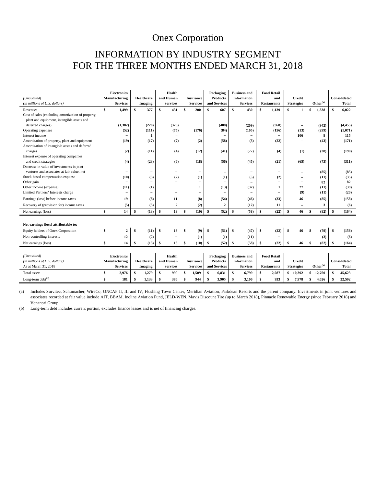### INFORMATION BY INDUSTRY SEGMENT FOR THE THREE MONTHS ENDED MARCH 31, 2018

| (Unaudited)<br>(in millions of U.S. dollars)       |     | <b>Electronics</b><br>Manufacturing<br><b>Services</b> | <b>Healthcare</b><br>Imaging |                          | Health<br>and Human<br><b>Services</b> |                          | <b>Insurance</b><br><b>Services</b> |                              | Packaging<br><b>Products</b><br>and Services |                          | <b>Business and</b><br><b>Information</b><br><b>Services</b> |                          |               | <b>Food Retail</b><br>and<br><b>Restaurants</b> | <b>Credit</b><br><b>Strategies</b> |                          | $Other^{(a)}$        |        | <b>Consolidated</b><br><b>Total</b> |          |
|----------------------------------------------------|-----|--------------------------------------------------------|------------------------------|--------------------------|----------------------------------------|--------------------------|-------------------------------------|------------------------------|----------------------------------------------|--------------------------|--------------------------------------------------------------|--------------------------|---------------|-------------------------------------------------|------------------------------------|--------------------------|----------------------|--------|-------------------------------------|----------|
| Revenues                                           | \$. | 1.499                                                  | \$                           | 377                      | S                                      | 431                      | S                                   | 200                          | \$                                           | 607                      | \$                                                           | 430                      | \$            | 1,139                                           | \$                                 | 1                        | \$                   | 1,338  | \$                                  | 6,022    |
| Cost of sales (excluding amortization of property, |     |                                                        |                              |                          |                                        |                          |                                     |                              |                                              |                          |                                                              |                          |               |                                                 |                                    |                          |                      |        |                                     |          |
| plant and equipment, intangible assets and         |     |                                                        |                              |                          |                                        |                          |                                     |                              |                                              |                          |                                                              |                          |               |                                                 |                                    |                          |                      |        |                                     |          |
| deferred charges)                                  |     | (1,382)                                                |                              | (220)                    |                                        | (326)                    |                                     | $\overline{\phantom{0}}$     |                                              | (408)                    |                                                              | (209)                    |               | (968)                                           |                                    | $\overline{\phantom{0}}$ |                      | (942)  |                                     | (4, 455) |
| Operating expenses                                 |     | (52)                                                   |                              | (111)                    |                                        | (75)                     |                                     | (176)                        |                                              | (84)                     |                                                              | (105)                    |               | (156)                                           |                                    | (13)                     |                      | (299)  |                                     | (1,071)  |
| Interest income                                    |     |                                                        |                              | 1                        |                                        | $\overline{\phantom{0}}$ |                                     | $\qquad \qquad \blacksquare$ |                                              |                          |                                                              | $\overline{\phantom{0}}$ |               |                                                 |                                    | 106                      |                      | 8      |                                     | 115      |
| Amortization of property, plant and equipment      |     | (19)                                                   |                              | (17)                     |                                        | (7)                      |                                     | (2)                          |                                              | (58)                     |                                                              | (3)                      |               | (22)                                            |                                    | -                        |                      | (43)   |                                     | (171)    |
| Amortization of intangible assets and deferred     |     |                                                        |                              |                          |                                        |                          |                                     |                              |                                              |                          |                                                              |                          |               |                                                 |                                    |                          |                      |        |                                     |          |
| charges                                            |     | (2)                                                    |                              | (11)                     |                                        | (4)                      |                                     | (12)                         |                                              | (41)                     |                                                              | (77)                     |               | (4)                                             |                                    | (1)                      |                      | (38)   |                                     | (190)    |
| Interest expense of operating companies            |     |                                                        |                              |                          |                                        |                          |                                     |                              |                                              |                          |                                                              |                          |               |                                                 |                                    |                          |                      |        |                                     |          |
| and credit strategies                              |     | (4)                                                    |                              | (23)                     |                                        | (6)                      |                                     | (18)                         |                                              | (56)                     |                                                              | (45)                     |               | (21)                                            |                                    | (65)                     |                      | (73)   |                                     | (311)    |
| Decrease in value of investments in joint          |     |                                                        |                              |                          |                                        |                          |                                     |                              |                                              |                          |                                                              |                          |               |                                                 |                                    |                          |                      |        |                                     |          |
| ventures and associates at fair value, net         |     |                                                        |                              |                          |                                        |                          |                                     | $\overline{\phantom{0}}$     |                                              |                          |                                                              |                          |               |                                                 |                                    | $\equiv$                 |                      | (85)   |                                     | (85)     |
| Stock-based compensation expense                   |     | (10)                                                   |                              | (3)                      |                                        | (2)                      |                                     | (1)                          |                                              | (1)                      |                                                              | (5)                      |               | (2)                                             |                                    | $\overline{\phantom{m}}$ |                      | (11)   |                                     | (35)     |
| Other gain                                         |     |                                                        |                              | $\overline{\phantom{a}}$ |                                        | ۰                        |                                     | $\overline{\phantom{0}}$     |                                              |                          |                                                              |                          |               | $\overline{\phantom{0}}$                        |                                    | -                        |                      | 82     |                                     | 82       |
| Other income (expense)                             |     | (11)                                                   |                              | (1)                      |                                        | $\overline{\phantom{0}}$ |                                     | 1                            |                                              | (13)                     |                                                              | (32)                     |               | 1                                               |                                    | 27                       |                      | (11)   |                                     | (39)     |
| Limited Partners' Interests charge                 |     | $\overline{\phantom{0}}$                               |                              | $\overline{\phantom{m}}$ |                                        | $\overline{\phantom{0}}$ |                                     | $\overline{\phantom{0}}$     |                                              | $\overline{\phantom{0}}$ |                                                              | $\rightarrow$            |               | $\overline{\phantom{0}}$                        |                                    | (9)                      |                      | (11)   |                                     | (20)     |
| Earnings (loss) before income taxes                |     | 19                                                     |                              | (8)                      |                                        | 11                       |                                     | (8)                          |                                              | (54)                     |                                                              | (46)                     |               | (33)                                            |                                    | 46                       |                      | (85)   |                                     | (158)    |
| Recovery of (provision for) income taxes           |     | (5)                                                    |                              | (5)                      |                                        | $\mathbf{2}$             |                                     | (2)                          |                                              | $\overline{2}$           |                                                              | (12)                     |               | 11                                              |                                    | $\equiv$                 |                      | 3      |                                     | (6)      |
| Net earnings (loss)                                | \$  | 14                                                     | \$                           | (13)                     | \$                                     | 13                       | \$                                  | (10)                         | \$                                           | (52)                     | \$                                                           | (58)                     | \$            | (22)                                            | $\mathbf{s}$                       | 46                       | \$                   | (82)   | \$.                                 | (164)    |
| Net earnings (loss) attributable to:               |     |                                                        |                              |                          |                                        |                          |                                     |                              |                                              |                          |                                                              |                          |               |                                                 |                                    |                          |                      |        |                                     |          |
| Equity holders of Onex Corporation                 | S   | $\boldsymbol{2}$                                       | \$                           | (11)                     | \$                                     | 13                       | \$                                  | (9)                          | \$                                           | (51)                     | \$                                                           | (47)                     | <sup>\$</sup> | (22)                                            | <sup>\$</sup>                      | 46                       | \$                   | (79)   | -S                                  | (158)    |
| Non-controlling interests                          |     | 12                                                     |                              | (2)                      |                                        | $\overline{\phantom{a}}$ |                                     | (1)                          |                                              | (1)                      |                                                              | (11)                     |               |                                                 |                                    | $\overline{\phantom{0}}$ |                      | (3)    |                                     | (6)      |
| Net earnings (loss)                                | S   | 14                                                     | \$                           | (13)                     | $\mathbf{s}$                           | 13                       | S                                   | (10)                         | $\mathbf{s}$                                 | (52)                     | $\mathbf{s}$                                                 | (58)                     | \$            | (22)                                            | \$                                 | 46                       | \$                   | (82)   | \$.                                 | (164)    |
|                                                    |     |                                                        |                              |                          |                                        |                          |                                     |                              |                                              |                          |                                                              |                          |               |                                                 |                                    |                          |                      |        |                                     |          |
| (Unaudited)                                        |     | <b>Electronics</b>                                     |                              |                          |                                        | Health                   |                                     |                              | Packaging                                    |                          |                                                              | <b>Business and</b>      |               | <b>Food Retail</b>                              |                                    |                          |                      |        |                                     |          |
| (in millions of U.S. dollars)                      |     | Manufacturing                                          |                              | Healthcare               | and Human                              |                          | <b>Insurance</b>                    |                              | <b>Products</b>                              |                          | <b>Information</b>                                           |                          | and           |                                                 | <b>Credit</b>                      |                          |                      |        | Consolidated                        |          |
| As at March 31, 2018                               |     | <b>Services</b>                                        |                              | <b>Imaging</b>           |                                        | <b>Services</b>          | <b>Services</b>                     |                              | and Services                                 |                          | <b>Services</b>                                              |                          |               | <b>Restaurants</b>                              |                                    | <b>Strategies</b>        | Other <sup>(a)</sup> |        | <b>Total</b>                        |          |
| Total assets                                       | S   | 2,976                                                  | \$                           | 1,279                    | \$                                     | 990                      | S                                   | 1,509                        | \$                                           | 6,831                    | \$                                                           | 6.799                    | \$            | 2,087                                           |                                    | \$10,392                 | \$                   | 12,760 | \$                                  | 45.623   |
| Long-term debt <sup>(b)</sup>                      | \$  | 181                                                    | \$                           | 1,133                    | \$                                     | 386                      | \$                                  | 944                          | \$                                           | 3,905                    | \$                                                           | 3,106                    | \$            | 933                                             | \$                                 | 7,978                    | \$                   | 4,026  | \$                                  | 22,592   |

(a) Includes Survitec, Schumacher, WireCo, ONCAP II, III and IV, Flushing Town Center, Meridian Aviation, Parkdean Resorts and the parent company. Investments in joint ventures and associates recorded at fair value include AIT, BBAM, Incline Aviation Fund, JELD-WEN, Mavis Discount Tire (up to March 2018), Pinnacle Renewable Energy (since February 2018) and Venanpri Group.

(b) Long-term debt includes current portion, excludes finance leases and is net of financing charges.